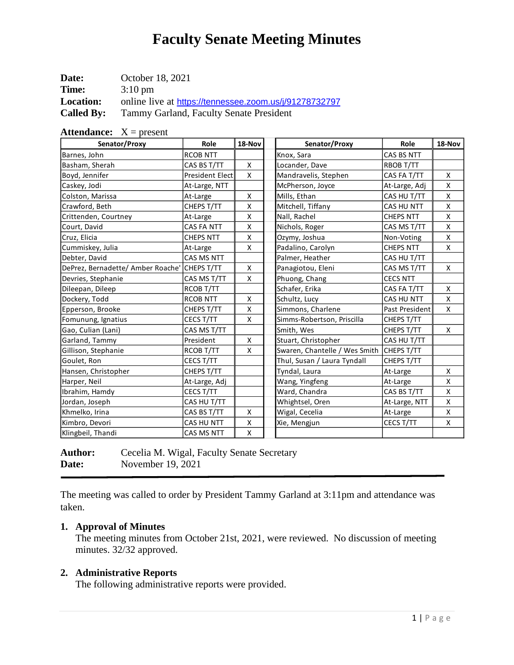| Date:             | October 18, 2021                                       |
|-------------------|--------------------------------------------------------|
| <b>Time:</b>      | $3:10 \text{ pm}$                                      |
| <b>Location:</b>  | online live at https://tennessee.zoom.us/j/91278732797 |
| <b>Called By:</b> | Tammy Garland, Faculty Senate President                |

| <b>Attendance:</b> $X = present$  |                  |        |                               |                   |        |  |  |
|-----------------------------------|------------------|--------|-------------------------------|-------------------|--------|--|--|
| Senator/Proxy                     | Role             | 18-Nov | Senator/Proxy                 | Role              | 18-Nov |  |  |
| Barnes, John                      | <b>RCOB NTT</b>  |        | Knox, Sara                    | CAS BS NTT        |        |  |  |
| Basham, Sherah                    | CAS BS T/TT      | X      | Locander, Dave                | RBOB T/TT         |        |  |  |
| Boyd, Jennifer                    | President Elect  | X      | Mandravelis, Stephen          | CAS FA T/TT       | X      |  |  |
| Caskey, Jodi                      | At-Large, NTT    |        | McPherson, Joyce              | At-Large, Adj     | X      |  |  |
| Colston, Marissa                  | At-Large         | X      | Mills, Ethan                  | CAS HU T/TT       | X      |  |  |
| Crawford, Beth                    | CHEPS T/TT       | X      | Mitchell, Tiffany             | <b>CAS HU NTT</b> | X      |  |  |
| Crittenden, Courtney              | At-Large         | X      | Nall, Rachel                  | <b>CHEPS NTT</b>  | X      |  |  |
| Court, David                      | CAS FA NTT       | X      | Nichols, Roger                | CAS MS T/TT       | X      |  |  |
| Cruz, Elicia                      | <b>CHEPS NTT</b> | X      | Ozymy, Joshua                 | Non-Voting        | X      |  |  |
| Cummiskey, Julia                  | At-Large         | X      | Padalino, Carolyn             | <b>CHEPS NTT</b>  | X      |  |  |
| Debter, David                     | CAS MS NTT       |        | Palmer, Heather               | CAS HU T/TT       |        |  |  |
| DePrez, Bernadette/ Amber Roache' | CHEPS T/TT       | X      | Panagiotou, Eleni             | CAS MS T/TT       | X      |  |  |
| Devries, Stephanie                | CAS MS T/TT      | X      | Phuong, Chang                 | <b>CECS NTT</b>   |        |  |  |
| Dileepan, Dileep                  | RCOB T/TT        |        | Schafer, Erika                | CAS FA T/TT       | X      |  |  |
| Dockery, Todd                     | <b>RCOB NTT</b>  | X      | Schultz, Lucy                 | <b>CAS HU NTT</b> | X      |  |  |
| Epperson, Brooke                  | CHEPS T/TT       | X      | Simmons, Charlene             | Past President    | X      |  |  |
| Fomunung, Ignatius                | CECS T/TT        | X      | Simms-Robertson, Priscilla    | CHEPS T/TT        |        |  |  |
| Gao, Culian (Lani)                | CAS MS T/TT      |        | Smith, Wes                    | CHEPS T/TT        | X      |  |  |
| Garland, Tammy                    | President        | X      | Stuart, Christopher           | CAS HU T/TT       |        |  |  |
| Gillison, Stephanie               | RCOB T/TT        | X      | Swaren, Chantelle / Wes Smith | CHEPS T/TT        |        |  |  |
| Goulet, Ron                       | CECS T/TT        |        | Thul, Susan / Laura Tyndall   | CHEPS T/TT        |        |  |  |
| Hansen, Christopher               | CHEPS T/TT       |        | Tyndal, Laura                 | At-Large          | X      |  |  |
| Harper, Neil                      | At-Large, Adj    |        | Wang, Yingfeng                | At-Large          | X      |  |  |
| Ibrahim, Hamdy                    | CECS T/TT        |        | Ward, Chandra                 | CAS BS T/TT       | X      |  |  |
| Jordan, Joseph                    | CAS HU T/TT      |        | Whightsel, Oren               | At-Large, NTT     | X      |  |  |
| Khmelko, Irina                    | CAS BS T/TT      | X      | Wigal, Cecelia                | At-Large          | X      |  |  |
| Kimbro, Devori                    | CAS HU NTT       | Χ      | Xie, Mengjun                  | CECS T/TT         | X      |  |  |
| Klingbeil, Thandi                 | CAS MS NTT       | X      |                               |                   |        |  |  |

| <b>Author:</b> | Cecelia M. Wigal, Faculty Senate Secretary |
|----------------|--------------------------------------------|
| Date:          | November 19, 2021                          |

The meeting was called to order by President Tammy Garland at 3:11pm and attendance was taken.

## **1. Approval of Minutes**

The meeting minutes from October 21st, 2021, were reviewed. No discussion of meeting minutes. 32/32 approved.

## **2. Administrative Reports**

The following administrative reports were provided.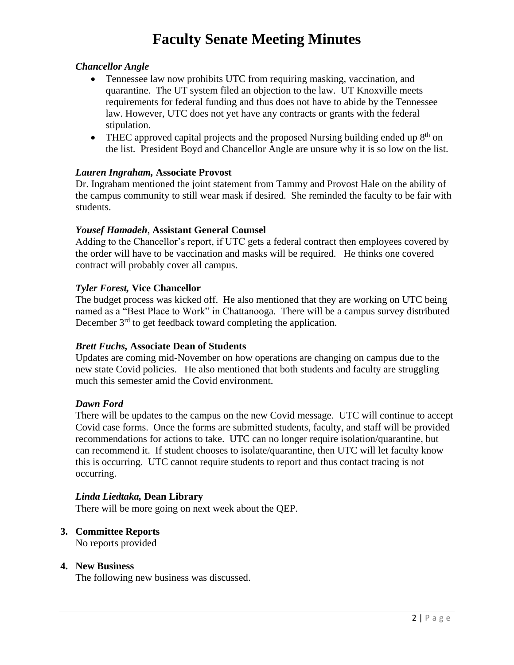### *Chancellor Angle*

- Tennessee law now prohibits UTC from requiring masking, vaccination, and quarantine. The UT system filed an objection to the law. UT Knoxville meets requirements for federal funding and thus does not have to abide by the Tennessee law. However, UTC does not yet have any contracts or grants with the federal stipulation.
- THEC approved capital projects and the proposed Nursing building ended up  $8<sup>th</sup>$  on the list. President Boyd and Chancellor Angle are unsure why it is so low on the list.

### *Lauren Ingraham,* **Associate Provost**

Dr. Ingraham mentioned the joint statement from Tammy and Provost Hale on the ability of the campus community to still wear mask if desired. She reminded the faculty to be fair with students.

### *Yousef Hamadeh*, **Assistant General Counsel**

Adding to the Chancellor's report, if UTC gets a federal contract then employees covered by the order will have to be vaccination and masks will be required. He thinks one covered contract will probably cover all campus.

#### *Tyler Forest,* **Vice Chancellor**

The budget process was kicked off. He also mentioned that they are working on UTC being named as a "Best Place to Work" in Chattanooga. There will be a campus survey distributed December  $3<sup>rd</sup>$  to get feedback toward completing the application.

### *Brett Fuchs,* **Associate Dean of Students**

Updates are coming mid-November on how operations are changing on campus due to the new state Covid policies. He also mentioned that both students and faculty are struggling much this semester amid the Covid environment.

#### *Dawn Ford*

There will be updates to the campus on the new Covid message. UTC will continue to accept Covid case forms. Once the forms are submitted students, faculty, and staff will be provided recommendations for actions to take. UTC can no longer require isolation/quarantine, but can recommend it. If student chooses to isolate/quarantine, then UTC will let faculty know this is occurring. UTC cannot require students to report and thus contact tracing is not occurring.

### *Linda Liedtaka,* **Dean Library**

There will be more going on next week about the QEP.

### **3. Committee Reports**

No reports provided

### **4. New Business**

The following new business was discussed.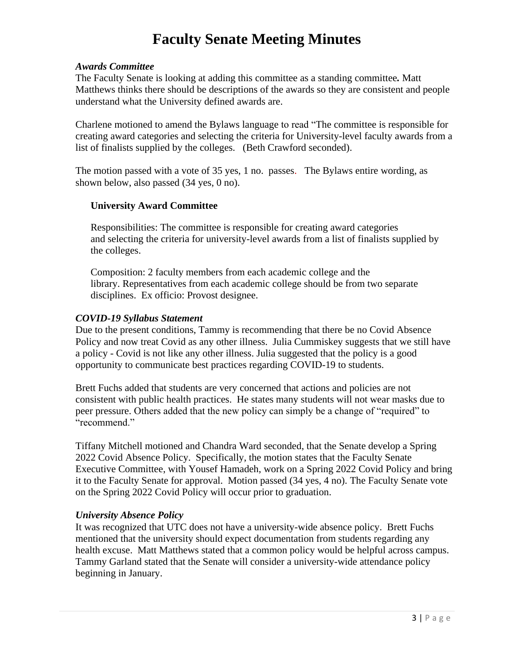### *Awards Committee*

The Faculty Senate is looking at adding this committee as a standing committee*.* Matt Matthews thinks there should be descriptions of the awards so they are consistent and people understand what the University defined awards are.

Charlene motioned to amend the Bylaws language to read "The committee is responsible for creating award categories and selecting the criteria for University-level faculty awards from a list of finalists supplied by the colleges. (Beth Crawford seconded).

The motion passed with a vote of 35 yes, 1 no. passes. The Bylaws entire wording, as shown below, also passed (34 yes, 0 no).

### **University Award Committee**

Responsibilities: The committee is responsible for creating award categories and selecting the criteria for university-level awards from a list of finalists supplied by the colleges.

Composition: 2 faculty members from each academic college and the library. Representatives from each academic college should be from two separate disciplines. Ex officio: Provost designee.

### *COVID-19 Syllabus Statement*

Due to the present conditions, Tammy is recommending that there be no Covid Absence Policy and now treat Covid as any other illness. Julia Cummiskey suggests that we still have a policy - Covid is not like any other illness. Julia suggested that the policy is a good opportunity to communicate best practices regarding COVID-19 to students.

Brett Fuchs added that students are very concerned that actions and policies are not consistent with public health practices. He states many students will not wear masks due to peer pressure. Others added that the new policy can simply be a change of "required" to "recommend."

Tiffany Mitchell motioned and Chandra Ward seconded, that the Senate develop a Spring 2022 Covid Absence Policy. Specifically, the motion states that the Faculty Senate Executive Committee, with Yousef Hamadeh, work on a Spring 2022 Covid Policy and bring it to the Faculty Senate for approval. Motion passed (34 yes, 4 no). The Faculty Senate vote on the Spring 2022 Covid Policy will occur prior to graduation.

## *University Absence Policy*

It was recognized that UTC does not have a university-wide absence policy. Brett Fuchs mentioned that the university should expect documentation from students regarding any health excuse. Matt Matthews stated that a common policy would be helpful across campus. Tammy Garland stated that the Senate will consider a university-wide attendance policy beginning in January.